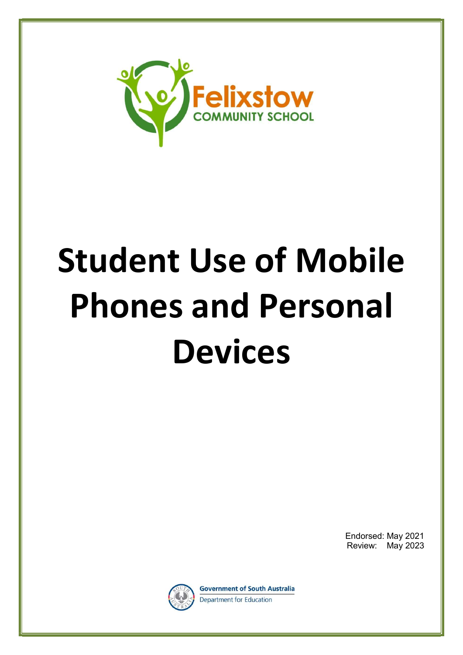

# Student Use of Mobile Phones and Personal Devices

Endorsed: May 2021 Review: May 2023



**Government of South Australia** Department for Education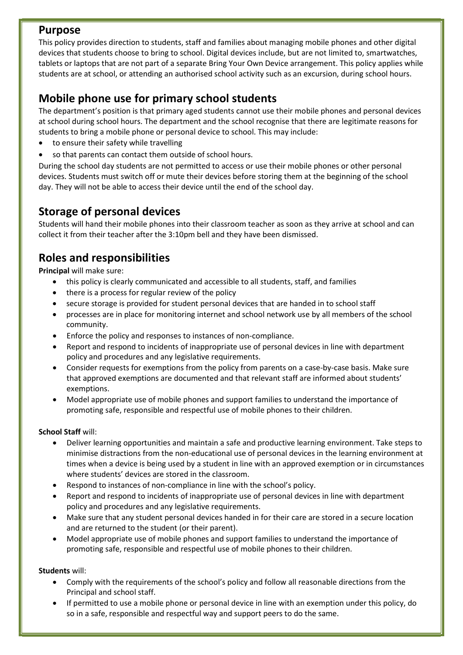## Purpose

This policy provides direction to students, staff and families about managing mobile phones and other digital devices that students choose to bring to school. Digital devices include, but are not limited to, smartwatches, tablets or laptops that are not part of a separate Bring Your Own Device arrangement. This policy applies while students are at school, or attending an authorised school activity such as an excursion, during school hours.

# Mobile phone use for primary school students

The department's position is that primary aged students cannot use their mobile phones and personal devices at school during school hours. The department and the school recognise that there are legitimate reasons for students to bring a mobile phone or personal device to school. This may include:

- to ensure their safety while travelling
- so that parents can contact them outside of school hours.

During the school day students are not permitted to access or use their mobile phones or other personal devices. Students must switch off or mute their devices before storing them at the beginning of the school day. They will not be able to access their device until the end of the school day.

## Storage of personal devices

Students will hand their mobile phones into their classroom teacher as soon as they arrive at school and can collect it from their teacher after the 3:10pm bell and they have been dismissed.

## Roles and responsibilities

Principal will make sure:

- this policy is clearly communicated and accessible to all students, staff, and families
- there is a process for regular review of the policy
- secure storage is provided for student personal devices that are handed in to school staff
- processes are in place for monitoring internet and school network use by all members of the school community.
- Enforce the policy and responses to instances of non-compliance.
- Report and respond to incidents of inappropriate use of personal devices in line with department policy and procedures and any legislative requirements.
- Consider requests for exemptions from the policy from parents on a case-by-case basis. Make sure that approved exemptions are documented and that relevant staff are informed about students' exemptions.
- Model appropriate use of mobile phones and support families to understand the importance of promoting safe, responsible and respectful use of mobile phones to their children.

#### School Staff will:

- Deliver learning opportunities and maintain a safe and productive learning environment. Take steps to minimise distractions from the non-educational use of personal devices in the learning environment at times when a device is being used by a student in line with an approved exemption or in circumstances where students' devices are stored in the classroom.
- Respond to instances of non-compliance in line with the school's policy.
- Report and respond to incidents of inappropriate use of personal devices in line with department policy and procedures and any legislative requirements.
- Make sure that any student personal devices handed in for their care are stored in a secure location and are returned to the student (or their parent).
- Model appropriate use of mobile phones and support families to understand the importance of promoting safe, responsible and respectful use of mobile phones to their children.

#### Students will:

- Comply with the requirements of the school's policy and follow all reasonable directions from the Principal and school staff.
- If permitted to use a mobile phone or personal device in line with an exemption under this policy, do so in a safe, responsible and respectful way and support peers to do the same.